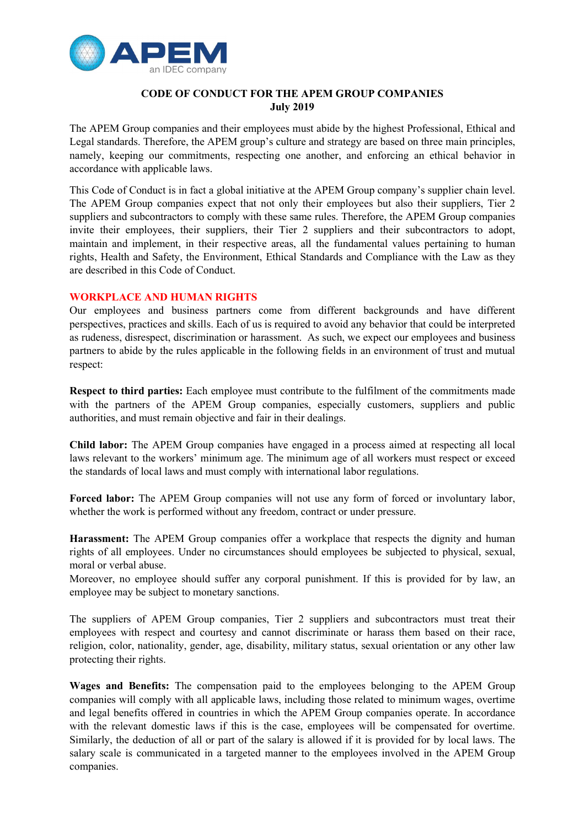

## CODE OF CONDUCT FOR THE APEM GROUP COMPANIES July 2019

The APEM Group companies and their employees must abide by the highest Professional, Ethical and Legal standards. Therefore, the APEM group's culture and strategy are based on three main principles, namely, keeping our commitments, respecting one another, and enforcing an ethical behavior in accordance with applicable laws.

This Code of Conduct is in fact a global initiative at the APEM Group company's supplier chain level. The APEM Group companies expect that not only their employees but also their suppliers, Tier 2 suppliers and subcontractors to comply with these same rules. Therefore, the APEM Group companies invite their employees, their suppliers, their Tier 2 suppliers and their subcontractors to adopt, maintain and implement, in their respective areas, all the fundamental values pertaining to human rights, Health and Safety, the Environment, Ethical Standards and Compliance with the Law as they are described in this Code of Conduct.

# WORKPLACE AND HUMAN RIGHTS

Our employees and business partners come from different backgrounds and have different perspectives, practices and skills. Each of us is required to avoid any behavior that could be interpreted as rudeness, disrespect, discrimination or harassment. As such, we expect our employees and business partners to abide by the rules applicable in the following fields in an environment of trust and mutual respect:

Respect to third parties: Each employee must contribute to the fulfilment of the commitments made with the partners of the APEM Group companies, especially customers, suppliers and public authorities, and must remain objective and fair in their dealings.

Child labor: The APEM Group companies have engaged in a process aimed at respecting all local laws relevant to the workers' minimum age. The minimum age of all workers must respect or exceed the standards of local laws and must comply with international labor regulations.

Forced labor: The APEM Group companies will not use any form of forced or involuntary labor, whether the work is performed without any freedom, contract or under pressure.

Harassment: The APEM Group companies offer a workplace that respects the dignity and human rights of all employees. Under no circumstances should employees be subjected to physical, sexual, moral or verbal abuse.

Moreover, no employee should suffer any corporal punishment. If this is provided for by law, an employee may be subject to monetary sanctions.

The suppliers of APEM Group companies, Tier 2 suppliers and subcontractors must treat their employees with respect and courtesy and cannot discriminate or harass them based on their race, religion, color, nationality, gender, age, disability, military status, sexual orientation or any other law protecting their rights.

Wages and Benefits: The compensation paid to the employees belonging to the APEM Group companies will comply with all applicable laws, including those related to minimum wages, overtime and legal benefits offered in countries in which the APEM Group companies operate. In accordance with the relevant domestic laws if this is the case, employees will be compensated for overtime. Similarly, the deduction of all or part of the salary is allowed if it is provided for by local laws. The salary scale is communicated in a targeted manner to the employees involved in the APEM Group companies.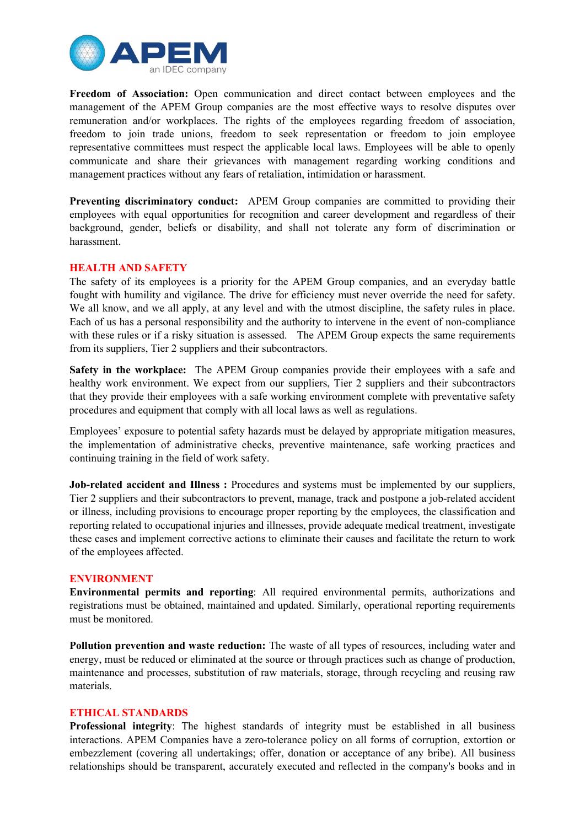

Freedom of Association: Open communication and direct contact between employees and the management of the APEM Group companies are the most effective ways to resolve disputes over remuneration and/or workplaces. The rights of the employees regarding freedom of association, freedom to join trade unions, freedom to seek representation or freedom to join employee representative committees must respect the applicable local laws. Employees will be able to openly communicate and share their grievances with management regarding working conditions and management practices without any fears of retaliation, intimidation or harassment.

Preventing discriminatory conduct: APEM Group companies are committed to providing their employees with equal opportunities for recognition and career development and regardless of their background, gender, beliefs or disability, and shall not tolerate any form of discrimination or harassment.

## HEALTH AND SAFETY

The safety of its employees is a priority for the APEM Group companies, and an everyday battle fought with humility and vigilance. The drive for efficiency must never override the need for safety. We all know, and we all apply, at any level and with the utmost discipline, the safety rules in place. Each of us has a personal responsibility and the authority to intervene in the event of non-compliance with these rules or if a risky situation is assessed. The APEM Group expects the same requirements from its suppliers, Tier 2 suppliers and their subcontractors.

Safety in the workplace: The APEM Group companies provide their employees with a safe and healthy work environment. We expect from our suppliers, Tier 2 suppliers and their subcontractors that they provide their employees with a safe working environment complete with preventative safety procedures and equipment that comply with all local laws as well as regulations.

Employees' exposure to potential safety hazards must be delayed by appropriate mitigation measures, the implementation of administrative checks, preventive maintenance, safe working practices and continuing training in the field of work safety.

Job-related accident and Illness : Procedures and systems must be implemented by our suppliers, Tier 2 suppliers and their subcontractors to prevent, manage, track and postpone a job-related accident or illness, including provisions to encourage proper reporting by the employees, the classification and reporting related to occupational injuries and illnesses, provide adequate medical treatment, investigate these cases and implement corrective actions to eliminate their causes and facilitate the return to work of the employees affected.

#### ENVIRONMENT

Environmental permits and reporting: All required environmental permits, authorizations and registrations must be obtained, maintained and updated. Similarly, operational reporting requirements must be monitored.

Pollution prevention and waste reduction: The waste of all types of resources, including water and energy, must be reduced or eliminated at the source or through practices such as change of production, maintenance and processes, substitution of raw materials, storage, through recycling and reusing raw materials.

## ETHICAL STANDARDS

Professional integrity: The highest standards of integrity must be established in all business interactions. APEM Companies have a zero-tolerance policy on all forms of corruption, extortion or embezzlement (covering all undertakings; offer, donation or acceptance of any bribe). All business relationships should be transparent, accurately executed and reflected in the company's books and in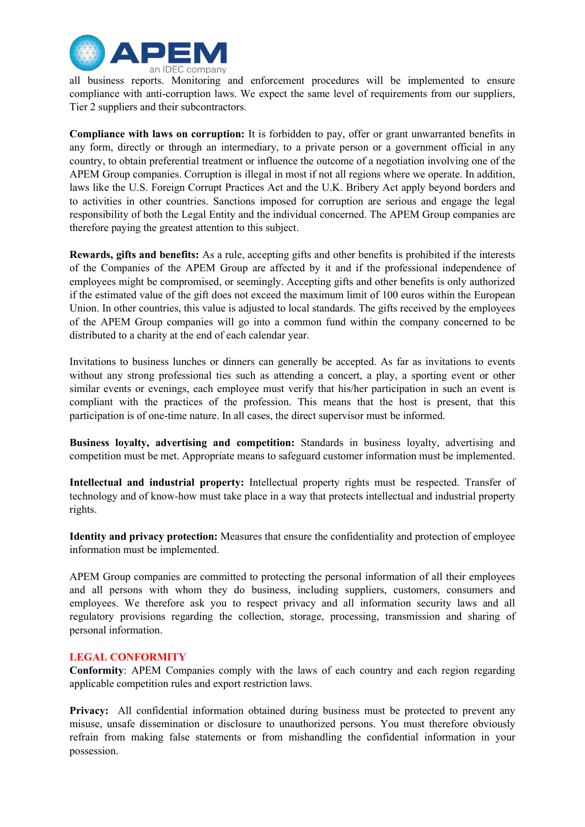

all business reports. Monitoring and enforcement procedures will be implemented to ensure compliance with anti-corruption laws. We expect the same level of requirements from our suppliers, Tier 2 suppliers and their subcontractors.

Compliance with laws on corruption: It is forbidden to pay, offer or grant unwarranted benefits in any form, directly or through an intermediary, to a private person or a government official in any country, to obtain preferential treatment or influence the outcome of a negotiation involving one of the APEM Group companies. Corruption is illegal in most if not all regions where we operate. In addition, laws like the U.S. Foreign Corrupt Practices Act and the U.K. Bribery Act apply beyond borders and to activities in other countries. Sanctions imposed for corruption are serious and engage the legal responsibility of both the Legal Entity and the individual concerned. The APEM Group companies are therefore paying the greatest attention to this subject.

Rewards, gifts and benefits: As a rule, accepting gifts and other benefits is prohibited if the interests of the Companies of the APEM Group are affected by it and if the professional independence of employees might be compromised, or seemingly. Accepting gifts and other benefits is only authorized if the estimated value of the gift does not exceed the maximum limit of 100 euros within the European Union. In other countries, this value is adjusted to local standards. The gifts received by the employees of the APEM Group companies will go into a common fund within the company concerned to be distributed to a charity at the end of each calendar year.

Invitations to business lunches or dinners can generally be accepted. As far as invitations to events without any strong professional ties such as attending a concert, a play, a sporting event or other similar events or evenings, each employee must verify that his/her participation in such an event is compliant with the practices of the profession. This means that the host is present, that this participation is of one-time nature. In all cases, the direct supervisor must be informed.

Business loyalty, advertising and competition: Standards in business loyalty, advertising and competition must be met. Appropriate means to safeguard customer information must be implemented.

Intellectual and industrial property: Intellectual property rights must be respected. Transfer of technology and of know-how must take place in a way that protects intellectual and industrial property rights.

Identity and privacy protection: Measures that ensure the confidentiality and protection of employee information must be implemented.

APEM Group companies are committed to protecting the personal information of all their employees and all persons with whom they do business, including suppliers, customers, consumers and employees. We therefore ask you to respect privacy and all information security laws and all regulatory provisions regarding the collection, storage, processing, transmission and sharing of personal information.

## LEGAL CONFORMITY

Conformity: APEM Companies comply with the laws of each country and each region regarding applicable competition rules and export restriction laws.

Privacy: All confidential information obtained during business must be protected to prevent any misuse, unsafe dissemination or disclosure to unauthorized persons. You must therefore obviously refrain from making false statements or from mishandling the confidential information in your possession.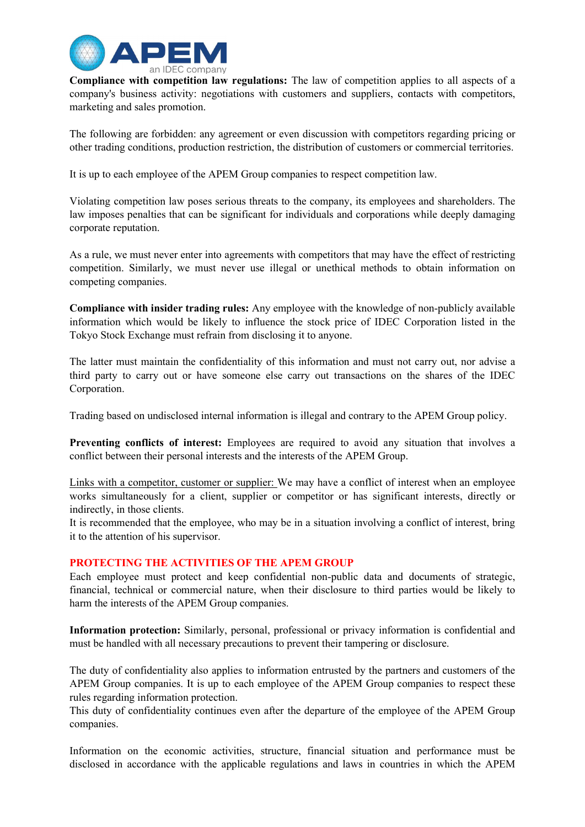

Compliance with competition law regulations: The law of competition applies to all aspects of a company's business activity: negotiations with customers and suppliers, contacts with competitors, marketing and sales promotion.

The following are forbidden: any agreement or even discussion with competitors regarding pricing or other trading conditions, production restriction, the distribution of customers or commercial territories.

It is up to each employee of the APEM Group companies to respect competition law.

Violating competition law poses serious threats to the company, its employees and shareholders. The law imposes penalties that can be significant for individuals and corporations while deeply damaging corporate reputation.

As a rule, we must never enter into agreements with competitors that may have the effect of restricting competition. Similarly, we must never use illegal or unethical methods to obtain information on competing companies.

Compliance with insider trading rules: Any employee with the knowledge of non-publicly available information which would be likely to influence the stock price of IDEC Corporation listed in the Tokyo Stock Exchange must refrain from disclosing it to anyone.

The latter must maintain the confidentiality of this information and must not carry out, nor advise a third party to carry out or have someone else carry out transactions on the shares of the IDEC Corporation.

Trading based on undisclosed internal information is illegal and contrary to the APEM Group policy.

Preventing conflicts of interest: Employees are required to avoid any situation that involves a conflict between their personal interests and the interests of the APEM Group.

Links with a competitor, customer or supplier: We may have a conflict of interest when an employee works simultaneously for a client, supplier or competitor or has significant interests, directly or indirectly, in those clients.

It is recommended that the employee, who may be in a situation involving a conflict of interest, bring it to the attention of his supervisor.

## PROTECTING THE ACTIVITIES OF THE APEM GROUP

Each employee must protect and keep confidential non-public data and documents of strategic, financial, technical or commercial nature, when their disclosure to third parties would be likely to harm the interests of the APEM Group companies.

Information protection: Similarly, personal, professional or privacy information is confidential and must be handled with all necessary precautions to prevent their tampering or disclosure.

The duty of confidentiality also applies to information entrusted by the partners and customers of the APEM Group companies. It is up to each employee of the APEM Group companies to respect these rules regarding information protection.

This duty of confidentiality continues even after the departure of the employee of the APEM Group companies.

Information on the economic activities, structure, financial situation and performance must be disclosed in accordance with the applicable regulations and laws in countries in which the APEM